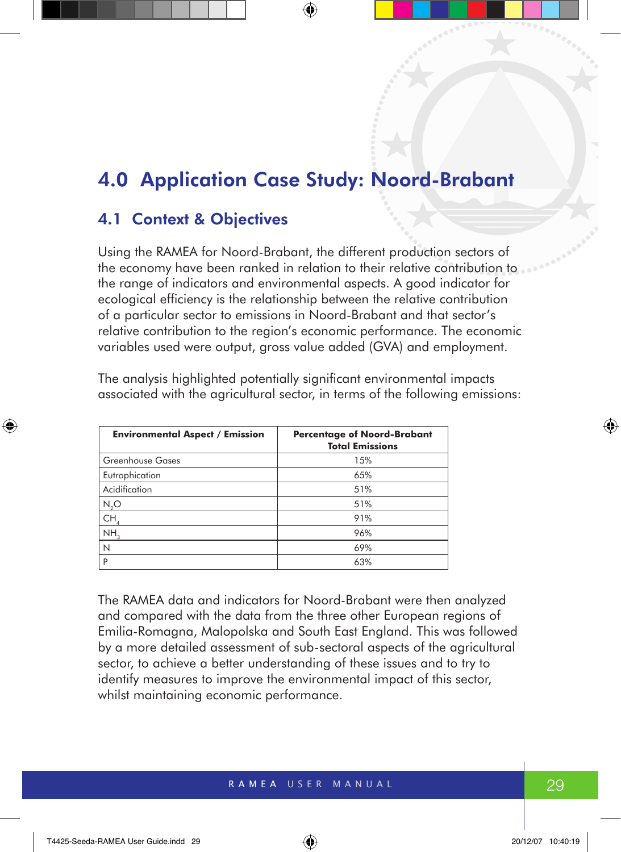# 4.0 Application Case Study: Noord-Brabant

# 4.1 Context & Objectives

Using the RAMEA for Noord-Brabant, the different production sectors of the economy have been ranked in relation to their relative contribution to the range of indicators and environmental aspects. A good indicator for ecological efficiency is the relationship between the relative contribution of a particular sector to emissions in Noord-Brabant and that sector's relative contribution to the region's economic performance. The economic variables used were output, gross value added (GVA) and employment.

The analysis highlighted potentially significant environmental impacts associated with the agricultural sector, in terms of the following emissions:

| <b>Environmental Aspect / Emission</b> | <b>Percentage of Noord-Brabant</b><br><b>Total Emissions</b> |
|----------------------------------------|--------------------------------------------------------------|
| Greenhouse Gases                       | 15%                                                          |
| Eutrophication                         | 65%                                                          |
| Acidification                          | 51%                                                          |
| $N_2O$                                 | 51%                                                          |
| CH,                                    | 91%                                                          |
| NH <sub>3</sub>                        | 96%                                                          |
| N                                      | 69%                                                          |
| P                                      | 63%                                                          |

The RAMEA data and indicators for Noord-Brabant were then analyzed and compared with the data from the three other European regions of Emilia-Romagna, Malopolska and South East England. This was followed by a more detailed assessment of sub-sectoral aspects of the agricultural sector, to achieve a better understanding of these issues and to try to identify measures to improve the environmental impact of this sector, whilst maintaining economic performance.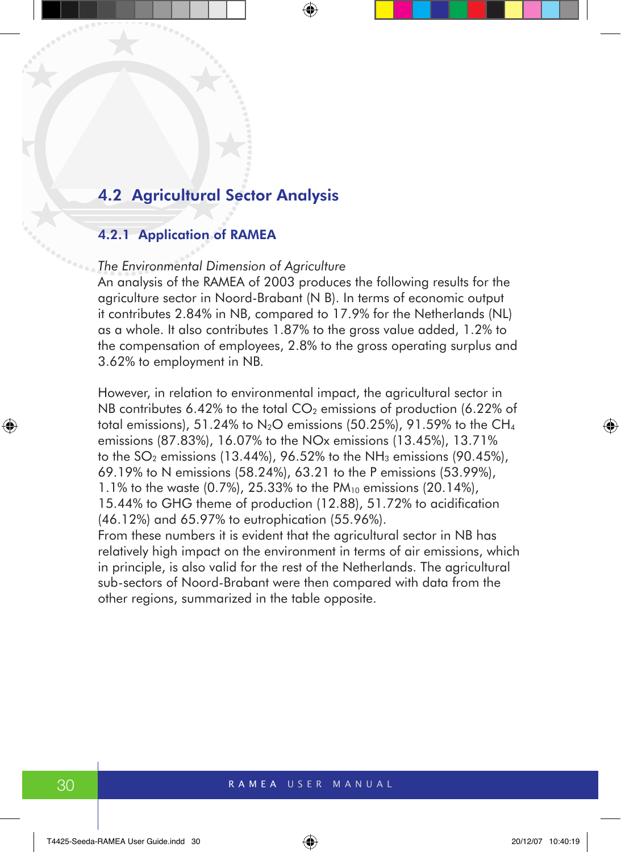## 4.2 Agricultural Sector Analysis

### 4.2.1 Application of RAMEA

#### *The Environmental Dimension of Agriculture*

An analysis of the RAMEA of 2003 produces the following results for the agriculture sector in Noord-Brabant (N B). In terms of economic output it contributes 2.84% in NB, compared to 17.9% for the Netherlands (NL) as a whole. It also contributes 1.87% to the gross value added, 1.2% to the compensation of employees, 2.8% to the gross operating surplus and 3.62% to employment in NB.

However, in relation to environmental impact, the agricultural sector in NB contributes 6.42% to the total  $CO<sub>2</sub>$  emissions of production (6.22% of total emissions), 51.24% to  $N_2O$  emissions (50.25%), 91.59% to the CH<sub>4</sub> emissions (87.83%), 16.07% to the NOx emissions (13.45%), 13.71% to the  $SO<sub>2</sub>$  emissions (13.44%), 96.52% to the NH<sub>3</sub> emissions (90.45%), 69.19% to N emissions (58.24%), 63.21 to the P emissions (53.99%), 1.1% to the waste  $(0.7\%)$ , 25.33% to the PM<sub>10</sub> emissions  $(20.14\%)$ , 15.44% to GHG theme of production (12.88), 51.72% to acidification (46.12%) and 65.97% to eutrophication (55.96%).

From these numbers it is evident that the agricultural sector in NB has relatively high impact on the environment in terms of air emissions, which in principle, is also valid for the rest of the Netherlands. The agricultural sub-sectors of Noord-Brabant were then compared with data from the other regions, summarized in the table opposite.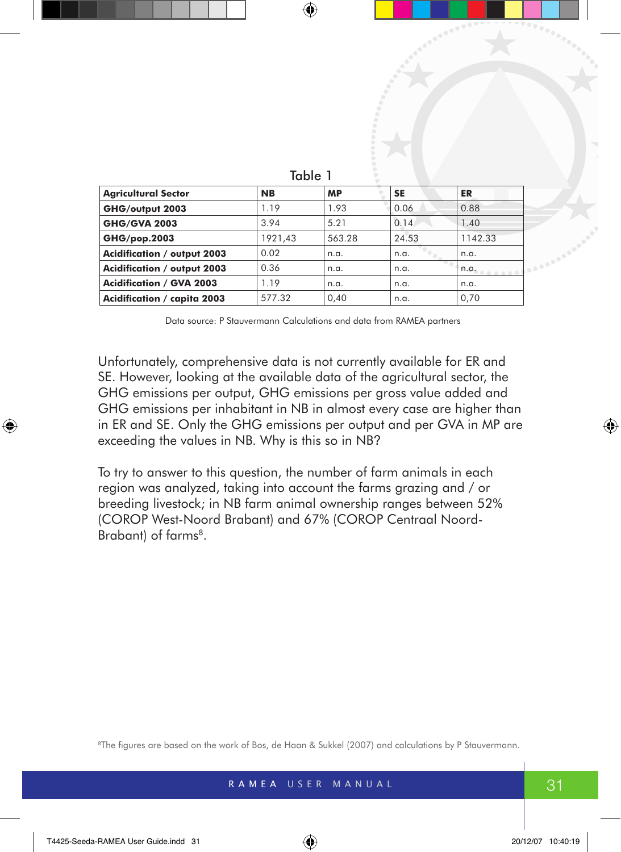| .                                  |           |           |           |         |
|------------------------------------|-----------|-----------|-----------|---------|
| <b>Agricultural Sector</b>         | <b>NB</b> | <b>MP</b> | <b>SE</b> | ER      |
| GHG/output 2003                    | 1.19      | 1.93      | 0.06      | 0.88    |
| <b>GHG/GVA 2003</b>                | 3.94      | 5.21      | 0.14      | 1.40    |
| GHG/pop.2003                       | 1921,43   | 563.28    | 24.53     | 1142.33 |
| <b>Acidification / output 2003</b> | 0.02      | n.a.      | n.a.      | n.a.    |
| <b>Acidification / output 2003</b> | 0.36      | n.a.      | n.a.      | n.a.    |
| <b>Acidification / GVA 2003</b>    | 1.19      | n.a.      | n.a.      | n.a.    |
| Acidification / capita 2003        | 577.32    | 0,40      | n.a.      | 0,70    |
|                                    |           |           |           |         |

| ×<br>. . | ł | ۰, |  |
|----------|---|----|--|

Data source: P Stauvermann Calculations and data from RAMEA partners

Unfortunately, comprehensive data is not currently available for ER and SE. However, looking at the available data of the agricultural sector, the GHG emissions per output, GHG emissions per gross value added and GHG emissions per inhabitant in NB in almost every case are higher than in ER and SE. Only the GHG emissions per output and per GVA in MP are exceeding the values in NB. Why is this so in NB?

To try to answer to this question, the number of farm animals in each region was analyzed, taking into account the farms grazing and / or breeding livestock; in NB farm animal ownership ranges between 52% (COROP West-Noord Brabant) and 67% (COROP Centraal Noord-Brabant) of farms<sup>8</sup>.

8The figures are based on the work of Bos, de Haan & Sukkel (2007) and calculations by P Stauvermann.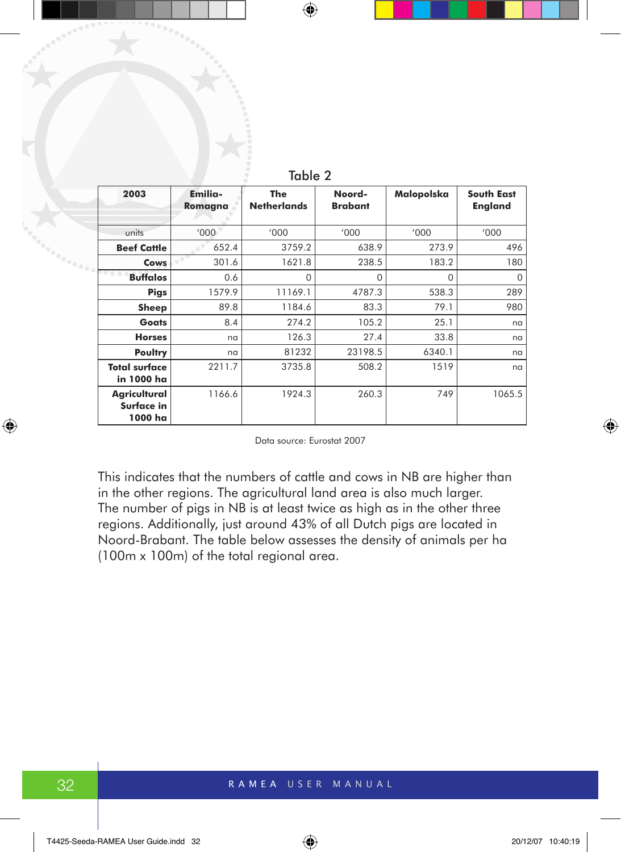| 2003                                  | Emilia-<br>Romagna | <b>The</b><br><b>Netherlands</b> | Noord-<br><b>Brabant</b> | Malopolska | <b>South East</b><br><b>England</b> |
|---------------------------------------|--------------------|----------------------------------|--------------------------|------------|-------------------------------------|
| units                                 | '000               | '000                             | '000                     | '000       | '000                                |
| <b>Beef Cattle</b>                    | 652.4              | 3759.2                           | 638.9                    | 273.9      | 496                                 |
| Cows                                  | 301.6              | 1621.8                           | 238.5                    | 183.2      | 180                                 |
| <b>Buffalos</b>                       | 0.6                | 0                                | 0                        | $\Omega$   | $\Omega$                            |
| <b>Pigs</b>                           | 1579.9             | 11169.1                          | 4787.3                   | 538.3      | 289                                 |
| Sheep                                 | 89.8               | 1184.6                           | 83.3                     | 79.1       | 980                                 |
| <b>Goats</b>                          | 8.4                | 274.2                            | 105.2                    | 25.1       | na                                  |
| <b>Horses</b>                         | na                 | 126.3                            | 27.4                     | 33.8       | na                                  |
| Poultry                               | na                 | 81232                            | 23198.5                  | 6340.1     | na                                  |
| <b>Total surface</b><br>in 1000 ha    | 2211.7             | 3735.8                           | 508.2                    | 1519       | na                                  |
| Agricultural<br>Surface in<br>1000 ha | 1166.6             | 1924.3                           | 260.3                    | 749        | 1065.5                              |

Table 2

Data source: Eurostat 2007

This indicates that the numbers of cattle and cows in NB are higher than in the other regions. The agricultural land area is also much larger. The number of pigs in NB is at least twice as high as in the other three regions. Additionally, just around 43% of all Dutch pigs are located in Noord-Brabant. The table below assesses the density of animals per ha (100m x 100m) of the total regional area.

a<sub>aaaaa</sub>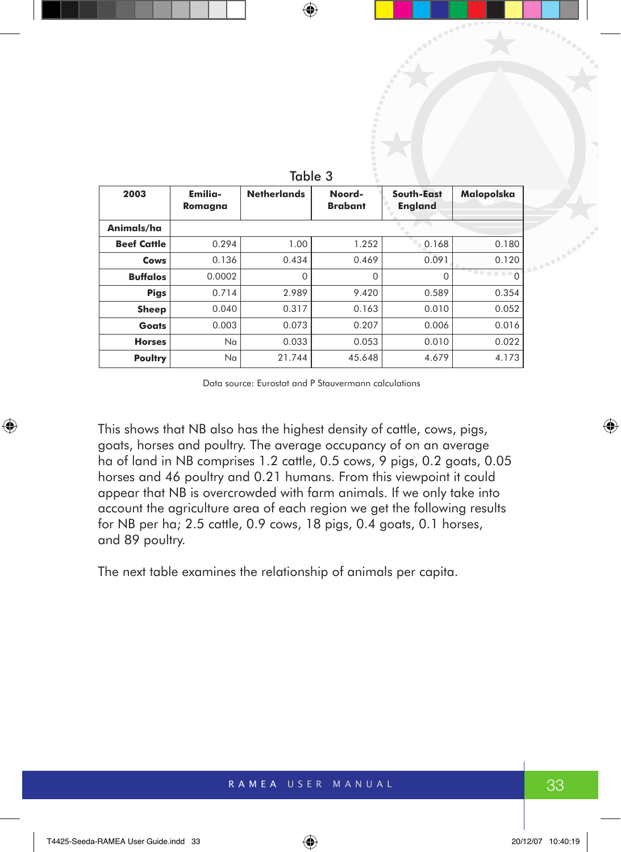| 2003               | Emilia-<br>Romagna | <b>Netherlands</b> | Noord-<br><b>Brabant</b> | South-East<br><b>England</b> | Malopolska |
|--------------------|--------------------|--------------------|--------------------------|------------------------------|------------|
| Animals/ha         |                    |                    |                          |                              |            |
| <b>Beef Cattle</b> | 0.294              | 1.00               | 1.252                    | 0.168                        | 0.180      |
| Cows               | 0.136              | 0.434              | 0.469                    | 0.091                        | 0.120      |
| <b>Buffalos</b>    | 0.0002             | $\Omega$           | 0                        | O                            | $\Omega$   |
| <b>Pigs</b>        | 0.714              | 2.989              | 9.420                    | 0.589                        | 0.354      |
| <b>Sheep</b>       | 0.040              | 0.317              | 0.163                    | 0.010                        | 0.052      |
| <b>Goats</b>       | 0.003              | 0.073              | 0.207                    | 0.006                        | 0.016      |
| <b>Horses</b>      | Na                 | 0.033              | 0.053                    | 0.010                        | 0.022      |
| Poultry            | Na                 | 21.744             | 45.648                   | 4.679                        | 4.173      |

|--|--|--|

Data source: Eurostat and P Stauvermann calculations

This shows that NB also has the highest density of cattle, cows, pigs, goats, horses and poultry. The average occupancy of on an average ha of land in NB comprises 1.2 cattle, 0.5 cows, 9 pigs, 0.2 goats, 0.05 horses and 46 poultry and 0.21 humans. From this viewpoint it could appear that NB is overcrowded with farm animals. If we only take into account the agriculture area of each region we get the following results for NB per ha; 2.5 cattle, 0.9 cows, 18 pigs, 0.4 goats, 0.1 horses, and 89 poultry.

The next table examines the relationship of animals per capita.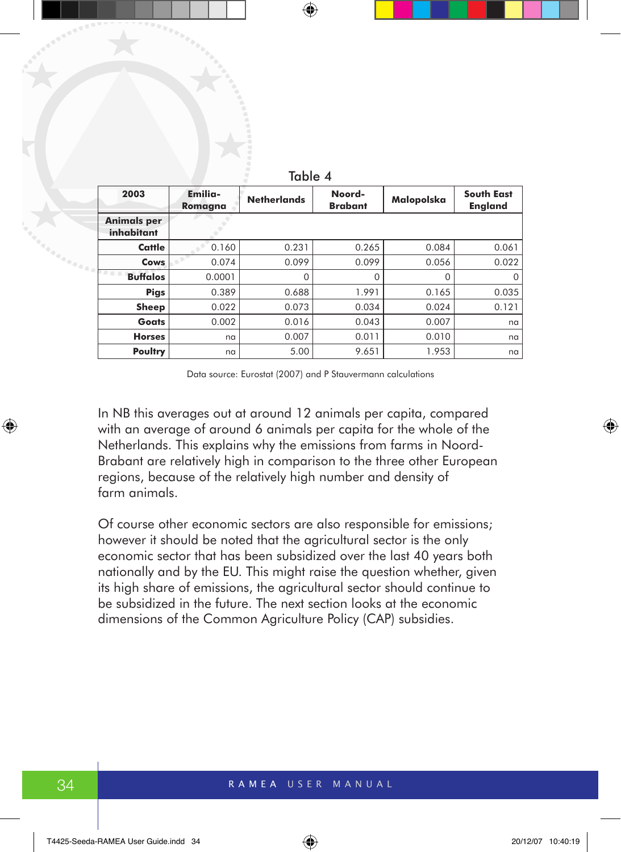| 2003                             | Emilia-<br>Romagna | <b>Netherlands</b> | Noord-<br><b>Brabant</b> | Malopolska | <b>South East</b><br><b>England</b> |
|----------------------------------|--------------------|--------------------|--------------------------|------------|-------------------------------------|
| <b>Animals per</b><br>inhabitant |                    |                    |                          |            |                                     |
| Cattle                           | 0.160              | 0.231              | 0.265                    | 0.084      | 0.061                               |
| <b>Cows</b>                      | 0.074              | 0.099              | 0.099                    | 0.056      | 0.022                               |
| <b>Buffalos</b>                  | 0.0001             | $\Omega$           | $\Omega$                 |            | O                                   |
| <b>Pigs</b>                      | 0.389              | 0.688              | 1.991                    | 0.165      | 0.035                               |
| <b>Sheep</b>                     | 0.022              | 0.073              | 0.034                    | 0.024      | 0.121                               |
| Goats                            | 0.002              | 0.016              | 0.043                    | 0.007      | na                                  |
| <b>Horses</b>                    | na                 | 0.007              | 0.011                    | 0.010      | na                                  |
| Poultry                          | na                 | 5.00               | 9.651                    | 1.953      | na                                  |

Table 4

Data source: Eurostat (2007) and P Stauvermann calculations

In NB this averages out at around 12 animals per capita, compared with an average of around 6 animals per capita for the whole of the Netherlands. This explains why the emissions from farms in Noord-Brabant are relatively high in comparison to the three other European regions, because of the relatively high number and density of farm animals.

Of course other economic sectors are also responsible for emissions; however it should be noted that the agricultural sector is the only economic sector that has been subsidized over the last 40 years both nationally and by the EU. This might raise the question whether, given its high share of emissions, the agricultural sector should continue to be subsidized in the future. The next section looks at the economic dimensions of the Common Agriculture Policy (CAP) subsidies.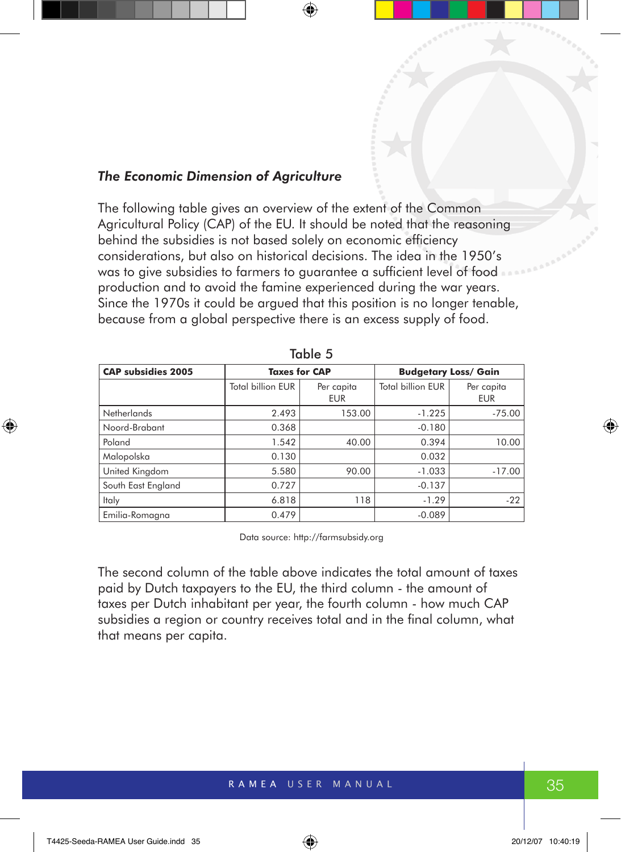#### *The Economic Dimension of Agriculture*

The following table gives an overview of the extent of the Common Agricultural Policy (CAP) of the EU. It should be noted that the reasoning behind the subsidies is not based solely on economic efficiency considerations, but also on historical decisions. The idea in the 1950's was to give subsidies to farmers to guarantee a sufficient level of food production and to avoid the famine experienced during the war years. Since the 1970s it could be argued that this position is no longer tenable. because from a global perspective there is an excess supply of food.

| IUNIV V                   |                          |                          |                          |                             |  |  |
|---------------------------|--------------------------|--------------------------|--------------------------|-----------------------------|--|--|
| <b>CAP subsidies 2005</b> | <b>Taxes for CAP</b>     |                          |                          | <b>Budgetary Loss/ Gain</b> |  |  |
|                           | <b>Total billion EUR</b> | Per capita<br><b>EUR</b> | <b>Total billion EUR</b> | Per capita<br><b>EUR</b>    |  |  |
| <b>Netherlands</b>        | 2.493                    | 153.00                   | $-1.225$                 | $-75.00$                    |  |  |
| Noord-Brabant             | 0.368                    |                          | $-0.180$                 |                             |  |  |
| Poland                    | 1.542                    | 40.00                    | 0.394                    | 10.00                       |  |  |
| Malopolska                | 0.130                    |                          | 0.032                    |                             |  |  |
| United Kingdom            | 5.580                    | 90.00                    | $-1.033$                 | $-17.00$                    |  |  |
| South East England        | 0.727                    |                          | $-0.137$                 |                             |  |  |
| Italy                     | 6.818                    | 118                      | $-1.29$                  | $-22$                       |  |  |
| Emilia-Romagna            | 0.479                    |                          | $-0.089$                 |                             |  |  |

|--|--|

Data source: http://farmsubsidy.org

The second column of the table above indicates the total amount of taxes paid by Dutch taxpayers to the EU, the third column - the amount of taxes per Dutch inhabitant per year, the fourth column - how much CAP subsidies a region or country receives total and in the final column, what that means per capita.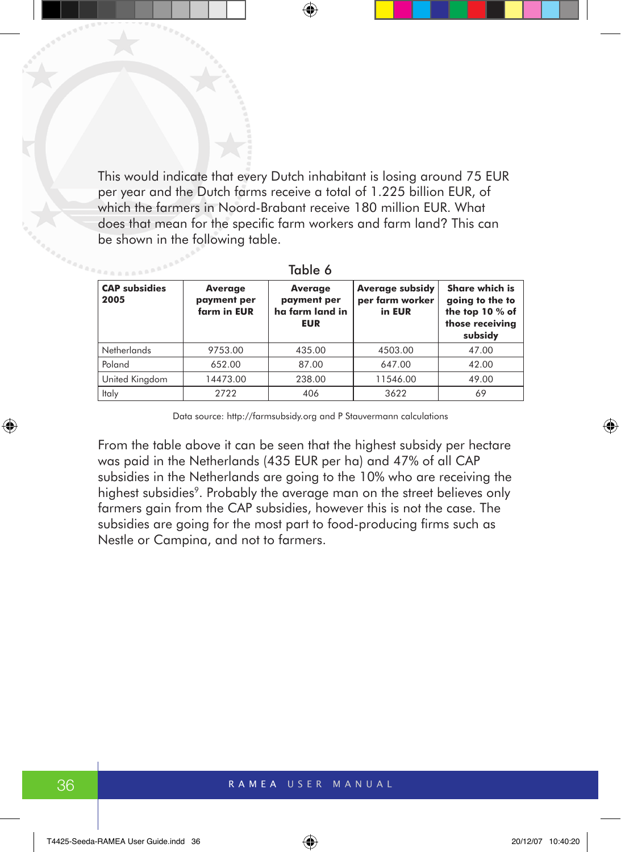This would indicate that every Dutch inhabitant is losing around 75 EUR per year and the Dutch farms receive a total of 1.225 billion EUR, of which the farmers in Noord-Brabant receive 180 million EUR. What does that mean for the specific farm workers and farm land? This can be shown in the following table.

| <b>CAP subsidies</b><br>2005 | Average<br>payment per<br>farm in EUR | Average<br>payment per<br>ha farm land in<br><b>EUR</b> | <b>Average subsidy</b><br>per farm worker<br>in EUR | <b>Share which is</b><br>going to the to<br>the top 10 % of<br>those receiving<br>subsidy |
|------------------------------|---------------------------------------|---------------------------------------------------------|-----------------------------------------------------|-------------------------------------------------------------------------------------------|
| <b>Netherlands</b>           | 9753.00                               | 435.00                                                  | 4503.00                                             | 47.00                                                                                     |
| Poland                       | 652.00                                | 87.00                                                   | 647.00                                              | 42.00                                                                                     |
| United Kingdom               | 14473.00                              | 238.00                                                  | 11546.00                                            | 49.00                                                                                     |
| Italy                        | 2722                                  | 406                                                     | 3622                                                | 69                                                                                        |

Table 6

Data source: http://farmsubsidy.org and P Stauvermann calculations

From the table above it can be seen that the highest subsidy per hectare was paid in the Netherlands (435 EUR per ha) and 47% of all CAP subsidies in the Netherlands are going to the 10% who are receiving the highest subsidies<sup>9</sup>. Probably the average man on the street believes only farmers gain from the CAP subsidies, however this is not the case. The subsidies are going for the most part to food-producing firms such as Nestle or Campina, and not to farmers.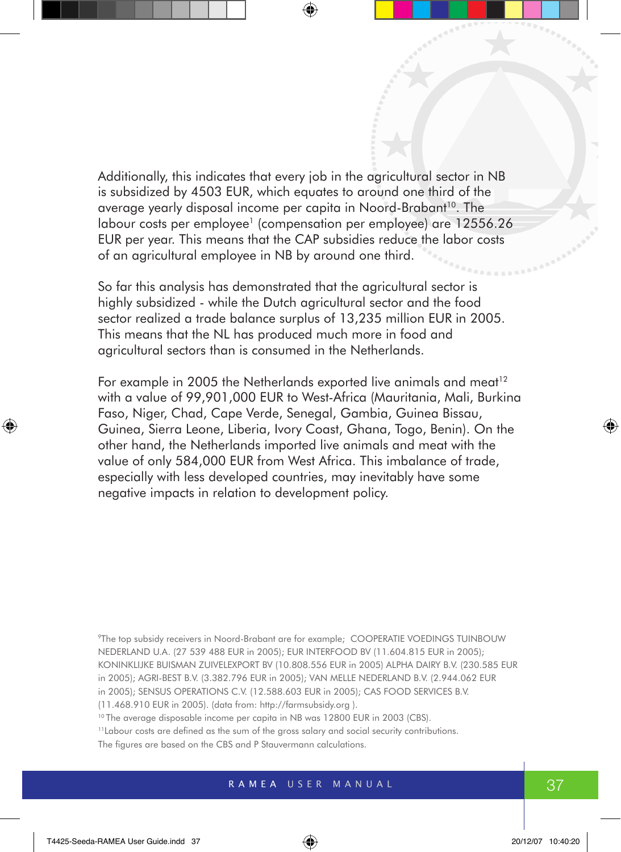Additionally, this indicates that every job in the agricultural sector in NB is subsidized by 4503 EUR, which equates to around one third of the average yearly disposal income per capita in Noord-Brabant<sup>10</sup>. The labour costs per employee<sup>1</sup> (compensation per employee) are 12556.26 EUR per year. This means that the CAP subsidies reduce the labor costs of an agricultural employee in NB by around one third.

So far this analysis has demonstrated that the agricultural sector is highly subsidized - while the Dutch agricultural sector and the food sector realized a trade balance surplus of 13,235 million EUR in 2005. This means that the NL has produced much more in food and agricultural sectors than is consumed in the Netherlands.

For example in 2005 the Netherlands exported live animals and meat<sup>12</sup> with a value of 99,901,000 EUR to West-Africa (Mauritania, Mali, Burkina Faso, Niger, Chad, Cape Verde, Senegal, Gambia, Guinea Bissau, Guinea, Sierra Leone, Liberia, Ivory Coast, Ghana, Togo, Benin). On the other hand, the Netherlands imported live animals and meat with the value of only 584,000 EUR from West Africa. This imbalance of trade, especially with less developed countries, may inevitably have some negative impacts in relation to development policy.

9The top subsidy receivers in Noord-Brabant are for example; COOPERATIE VOEDINGS TUINBOUW NEDERLAND U.A. (27 539 488 EUR in 2005); EUR INTERFOOD BV (11.604.815 EUR in 2005); KONINKLIJKE BUISMAN ZUIVELEXPORT BV (10.808.556 EUR in 2005) ALPHA DAIRY B.V. (230.585 EUR in 2005); AGRI-BEST B.V. (3.382.796 EUR in 2005); VAN MELLE NEDERLAND B.V. (2.944.062 EUR in 2005); SENSUS OPERATIONS C.V. (12.588.603 EUR in 2005); CAS FOOD SERVICES B.V. (11.468.910 EUR in 2005). (data from: http://farmsubsidy.org ).

<sup>10</sup> The average disposable income per capita in NB was 12800 EUR in 2003 (CBS).

<sup>11</sup>Labour costs are defined as the sum of the gross salary and social security contributions. The figures are based on the CBS and P Stauvermann calculations.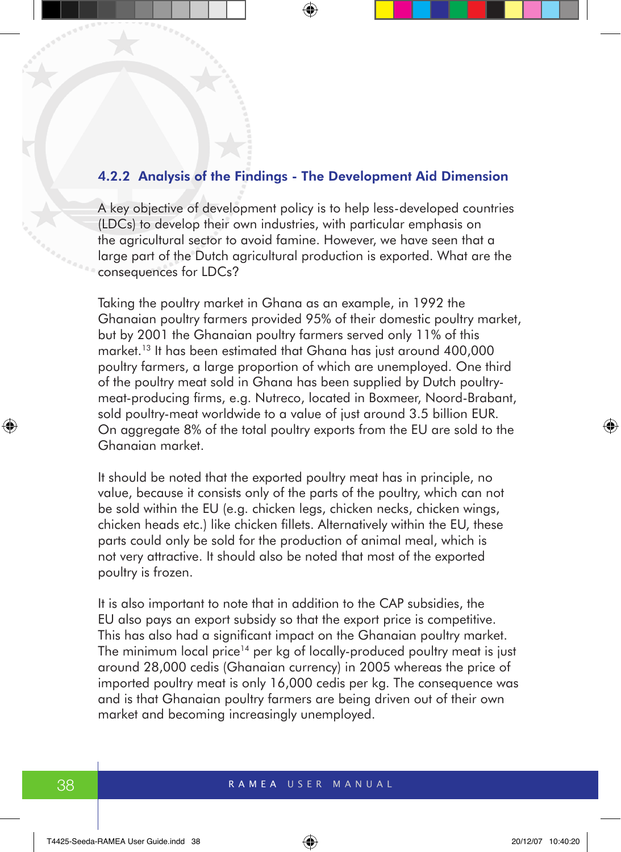#### 4.2.2 Analysis of the Findings - The Development Aid Dimension

A key objective of development policy is to help less-developed countries (LDCs) to develop their own industries, with particular emphasis on the agricultural sector to avoid famine. However, we have seen that a large part of the Dutch agricultural production is exported. What are the consequences for LDCs?

Taking the poultry market in Ghana as an example, in 1992 the Ghanaian poultry farmers provided 95% of their domestic poultry market, but by 2001 the Ghanaian poultry farmers served only 11% of this market.<sup>13</sup> It has been estimated that Ghana has just around 400,000 poultry farmers, a large proportion of which are unemployed. One third of the poultry meat sold in Ghana has been supplied by Dutch poultrymeat-producing firms, e.g. Nutreco, located in Boxmeer, Noord-Brabant, sold poultry-meat worldwide to a value of just around 3.5 billion EUR. On aggregate 8% of the total poultry exports from the EU are sold to the Ghanaian market.

It should be noted that the exported poultry meat has in principle, no value, because it consists only of the parts of the poultry, which can not be sold within the EU (e.g. chicken legs, chicken necks, chicken wings, chicken heads etc.) like chicken fillets. Alternatively within the EU, these parts could only be sold for the production of animal meal, which is not very attractive. It should also be noted that most of the exported poultry is frozen.

It is also important to note that in addition to the CAP subsidies, the EU also pays an export subsidy so that the export price is competitive. This has also had a significant impact on the Ghanaian poultry market. The minimum local price<sup>14</sup> per kg of locally-produced poultry meat is just around 28,000 cedis (Ghanaian currency) in 2005 whereas the price of imported poultry meat is only 16,000 cedis per kg. The consequence was and is that Ghanaian poultry farmers are being driven out of their own market and becoming increasingly unemployed.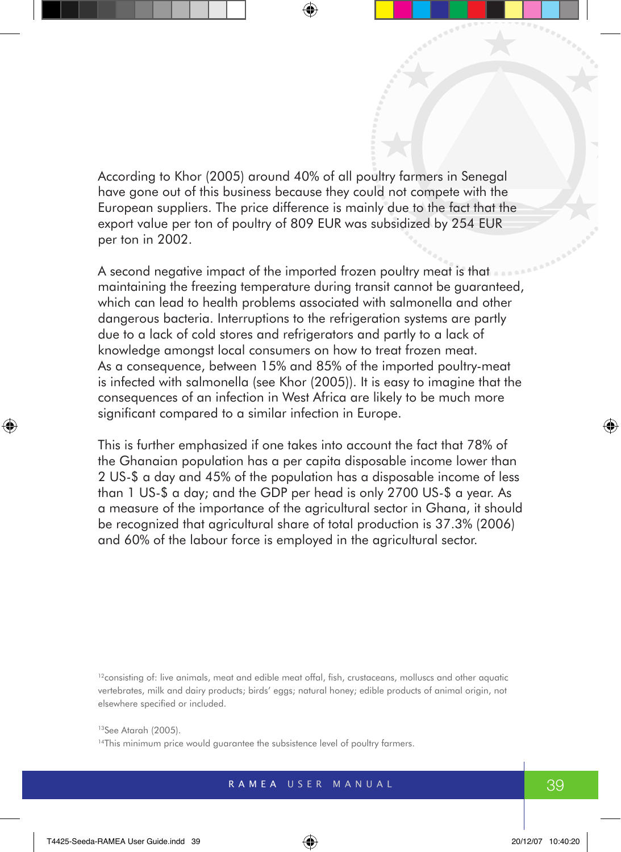According to Khor (2005) around 40% of all poultry farmers in Senegal have gone out of this business because they could not compete with the European suppliers. The price difference is mainly due to the fact that the export value per ton of poultry of 809 EUR was subsidized by 254 EUR per ton in 2002.

A second negative impact of the imported frozen poultry meat is that maintaining the freezing temperature during transit cannot be guaranteed, which can lead to health problems associated with salmonella and other dangerous bacteria. Interruptions to the refrigeration systems are partly due to a lack of cold stores and refrigerators and partly to a lack of knowledge amongst local consumers on how to treat frozen meat. As a consequence, between 15% and 85% of the imported poultry-meat is infected with salmonella (see Khor (2005)). It is easy to imagine that the consequences of an infection in West Africa are likely to be much more significant compared to a similar infection in Europe.

This is further emphasized if one takes into account the fact that 78% of the Ghanaian population has a per capita disposable income lower than 2 US-\$ a day and 45% of the population has a disposable income of less than 1 US-\$ a day; and the GDP per head is only 2700 US-\$ a year. As a measure of the importance of the agricultural sector in Ghana, it should be recognized that agricultural share of total production is 37.3% (2006) and 60% of the labour force is employed in the agricultural sector.

<sup>12</sup>consisting of: live animals, meat and edible meat offal, fish, crustaceans, molluscs and other aquatic vertebrates, milk and dairy products; birds' eggs; natural honey; edible products of animal origin, not elsewhere specified or included.

13See Atarah (2005).

<sup>14</sup>This minimum price would guarantee the subsistence level of poultry farmers.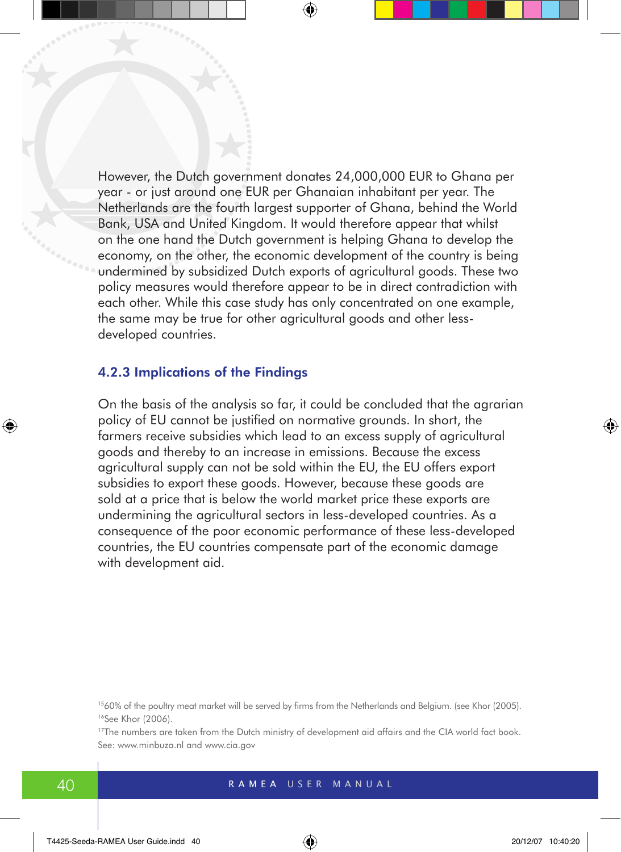However, the Dutch government donates 24,000,000 EUR to Ghana per year - or just around one EUR per Ghanaian inhabitant per year. The Netherlands are the fourth largest supporter of Ghana, behind the World Bank, USA and United Kingdom. It would therefore appear that whilst on the one hand the Dutch government is helping Ghana to develop the economy, on the other, the economic development of the country is being undermined by subsidized Dutch exports of agricultural goods. These two policy measures would therefore appear to be in direct contradiction with each other. While this case study has only concentrated on one example, the same may be true for other agricultural goods and other lessdeveloped countries.

### 4.2.3 Implications of the Findings

On the basis of the analysis so far, it could be concluded that the agrarian policy of EU cannot be justified on normative grounds. In short, the farmers receive subsidies which lead to an excess supply of agricultural goods and thereby to an increase in emissions. Because the excess agricultural supply can not be sold within the EU, the EU offers export subsidies to export these goods. However, because these goods are sold at a price that is below the world market price these exports are undermining the agricultural sectors in less-developed countries. As a consequence of the poor economic performance of these less-developed countries, the EU countries compensate part of the economic damage with development aid.

<sup>15</sup>60% of the poultry meat market will be served by firms from the Netherlands and Belgium. (see Khor (2005). <sup>16</sup>See Khor (2006).

<sup>17</sup>The numbers are taken from the Dutch ministry of development aid affairs and the CIA world fact book. See: www.minbuza.nl and www.cia.gov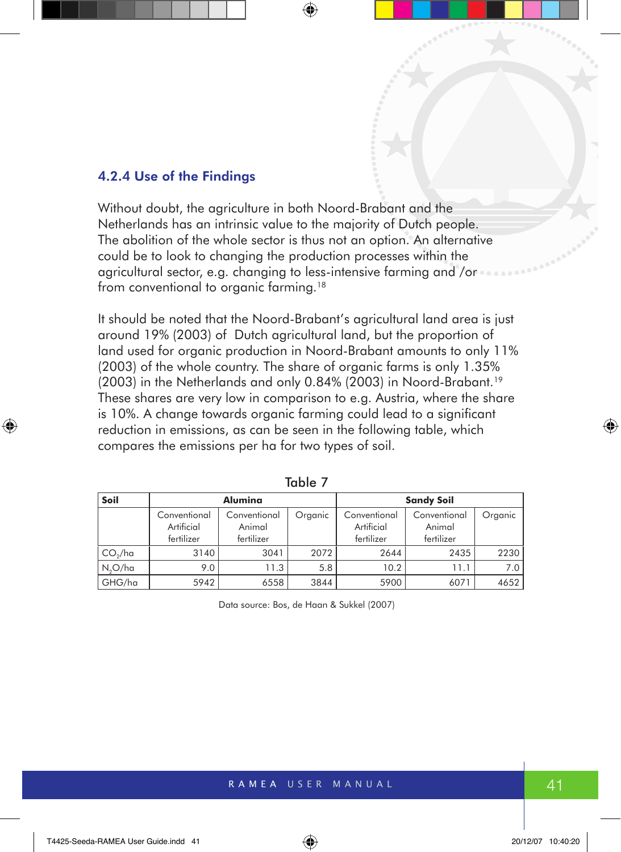#### 4.2.4 Use of the Findings

Without doubt, the agriculture in both Noord-Brabant and the Netherlands has an intrinsic value to the majority of Dutch people. The abolition of the whole sector is thus not an option. An alternative could be to look to changing the production processes within the agricultural sector, e.g. changing to less-intensive farming and /or from conventional to organic farming.<sup>18</sup>

It should be noted that the Noord-Brabant's agricultural land area is just around 19% (2003) of Dutch agricultural land, but the proportion of land used for organic production in Noord-Brabant amounts to only 11% (2003) of the whole country. The share of organic farms is only 1.35% (2003) in the Netherlands and only 0.84% (2003) in Noord-Brabant.19 These shares are very low in comparison to e.g. Austria, where the share is 10%. A change towards organic farming could lead to a significant reduction in emissions, as can be seen in the following table, which compares the emissions per ha for two types of soil.

| Soil                | Alumina                                  |                                      |         |                                          | <b>Sandy Soil</b>                    |         |
|---------------------|------------------------------------------|--------------------------------------|---------|------------------------------------------|--------------------------------------|---------|
|                     | Conventional<br>Artificial<br>fertilizer | Conventional<br>Animal<br>fertilizer | Organic | Conventional<br>Artificial<br>fertilizer | Conventional<br>Animal<br>fertilizer | Organic |
| CO <sub>2</sub> /ha | 3140                                     | 3041                                 | 2072    | 2644                                     | 2435                                 | 2230    |
| $N_2O/ha$           | 9.0                                      | 11.3                                 | 5.8     | 10.2                                     | 11.1                                 | 7.0     |
| GHG/ha              | 5942                                     | 6558                                 | 3844    | 5900                                     | 6071                                 | 4652    |

| × | I |  |
|---|---|--|

Data source: Bos, de Haan & Sukkel (2007)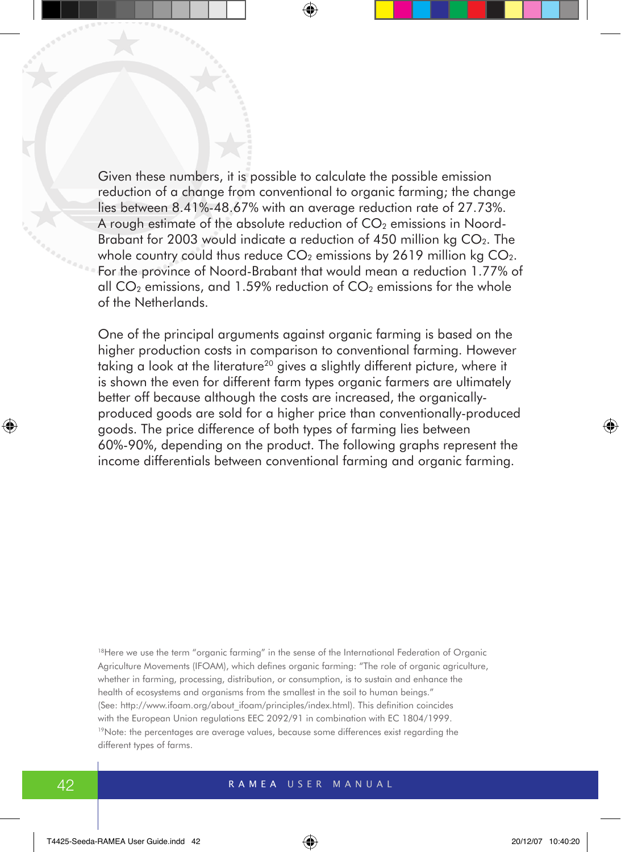Given these numbers, it is possible to calculate the possible emission reduction of a change from conventional to organic farming; the change lies between 8.41%-48.67% with an average reduction rate of 27.73%. A rough estimate of the absolute reduction of  $CO<sub>2</sub>$  emissions in Noord-Brabant for 2003 would indicate a reduction of 450 million  $kq CO<sub>2</sub>$ . The whole country could thus reduce  $CO<sub>2</sub>$  emissions by 2619 million kg  $CO<sub>2</sub>$ . For the province of Noord-Brabant that would mean a reduction 1.77% of all  $CO<sub>2</sub>$  emissions, and 1.59% reduction of  $CO<sub>2</sub>$  emissions for the whole of the Netherlands.

One of the principal arguments against organic farming is based on the higher production costs in comparison to conventional farming. However taking a look at the literature<sup>20</sup> gives a slightly different picture, where it is shown the even for different farm types organic farmers are ultimately better off because although the costs are increased, the organicallyproduced goods are sold for a higher price than conventionally-produced goods. The price difference of both types of farming lies between 60%-90%, depending on the product. The following graphs represent the income differentials between conventional farming and organic farming.

<sup>18</sup>Here we use the term "organic farming" in the sense of the International Federation of Organic Agriculture Movements (IFOAM), which defines organic farming: "The role of organic agriculture, whether in farming, processing, distribution, or consumption, is to sustain and enhance the health of ecosystems and organisms from the smallest in the soil to human beings." (See: http://www.ifoam.org/about\_ifoam/principles/index.html). This definition coincides with the European Union regulations EEC 2092/91 in combination with EC 1804/1999. <sup>19</sup>Note: the percentages are average values, because some differences exist regarding the different types of farms.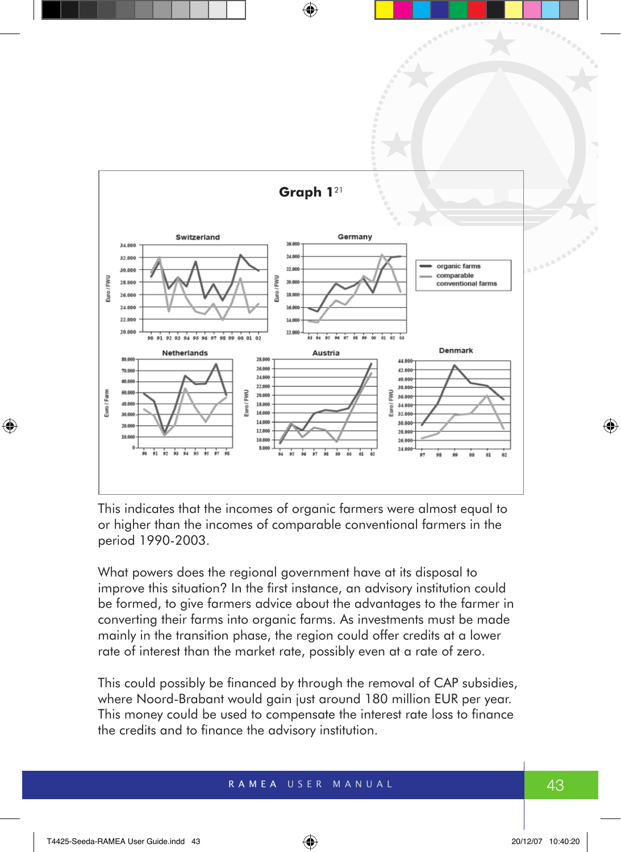

This indicates that the incomes of organic farmers were almost equal to or higher than the incomes of comparable conventional farmers in the period 1990-2003.

What powers does the regional government have at its disposal to improve this situation? In the first instance, an advisory institution could be formed, to give farmers advice about the advantages to the farmer in converting their farms into organic farms. As investments must be made mainly in the transition phase, the region could offer credits at a lower rate of interest than the market rate, possibly even at a rate of zero.

This could possibly be financed by through the removal of CAP subsidies, where Noord-Brabant would gain just around 180 million EUR per year. This money could be used to compensate the interest rate loss to finance the credits and to finance the advisory institution.